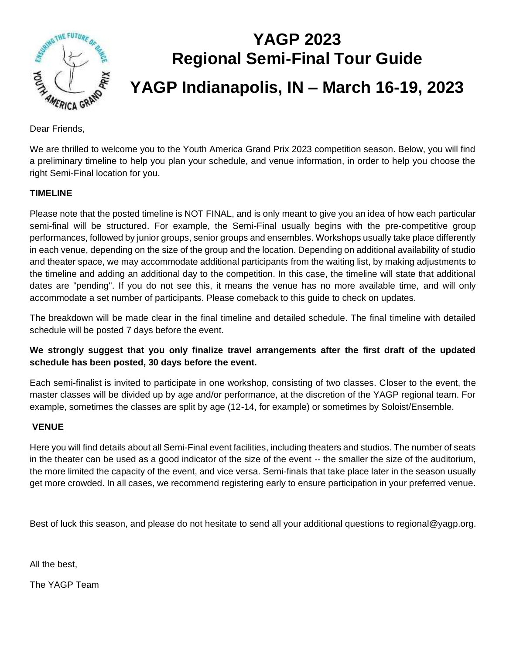

# **YAGP 2023 Regional Semi-Final Tour Guide**

## **YAGP Indianapolis, IN – March 16-19, 2023**

Dear Friends,

We are thrilled to welcome you to the Youth America Grand Prix 2023 competition season. Below, you will find a preliminary timeline to help you plan your schedule, and venue information, in order to help you choose the right Semi-Final location for you.

#### **TIMELINE**

Please note that the posted timeline is NOT FINAL, and is only meant to give you an idea of how each particular semi-final will be structured. For example, the Semi-Final usually begins with the pre-competitive group performances, followed by junior groups, senior groups and ensembles. Workshops usually take place differently in each venue, depending on the size of the group and the location. Depending on additional availability of studio and theater space, we may accommodate additional participants from the waiting list, by making adjustments to the timeline and adding an additional day to the competition. In this case, the timeline will state that additional dates are "pending". If you do not see this, it means the venue has no more available time, and will only accommodate a set number of participants. Please comeback to this guide to check on updates.

The breakdown will be made clear in the final timeline and detailed schedule. The final timeline with detailed schedule will be posted 7 days before the event.

#### **We strongly suggest that you only finalize travel arrangements after the first draft of the updated schedule has been posted, 30 days before the event.**

Each semi-finalist is invited to participate in one workshop, consisting of two classes. Closer to the event, the master classes will be divided up by age and/or performance, at the discretion of the YAGP regional team. For example, sometimes the classes are split by age (12-14, for example) or sometimes by Soloist/Ensemble.

#### **VENUE**

Here you will find details about all Semi-Final event facilities, including theaters and studios. The number of seats in the theater can be used as a good indicator of the size of the event -- the smaller the size of the auditorium, the more limited the capacity of the event, and vice versa. Semi-finals that take place later in the season usually get more crowded. In all cases, we recommend registering early to ensure participation in your preferred venue.

Best of luck this season, and please do not hesitate to send all your additional questions to regional@yagp.org.

All the best,

The YAGP Team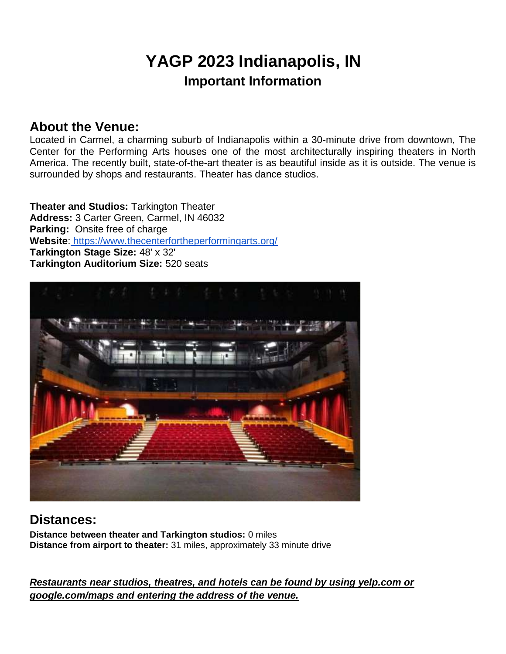## **YAGP 2023 Indianapolis, IN Important Information**

## **About the Venue:**

Located in Carmel, a charming suburb of Indianapolis within a 30-minute drive from downtown, The Center for the Performing Arts houses one of the most architecturally inspiring theaters in North America. The recently built, state-of-the-art theater is as beautiful inside as it is outside. The venue is surrounded by shops and restaurants. Theater has dance studios.

**Theater and Studios:** Tarkington Theater **Address:** 3 Carter Green, Carmel, IN 46032 **Parking:** Onsite free of charge **Website**: <https://www.thecenterfortheperformingarts.org/> **Tarkington Stage Size:** 48' x 32' **Tarkington Auditorium Size:** 520 seats



## **Distances:**

**Distance between theater and Tarkington studios:** 0 miles **Distance from airport to theater:** 31 miles, approximately 33 minute drive

*Restaurants near studios, theatres, and hotels can be found by using yelp.com or google.com/maps and entering the address of the venue.*